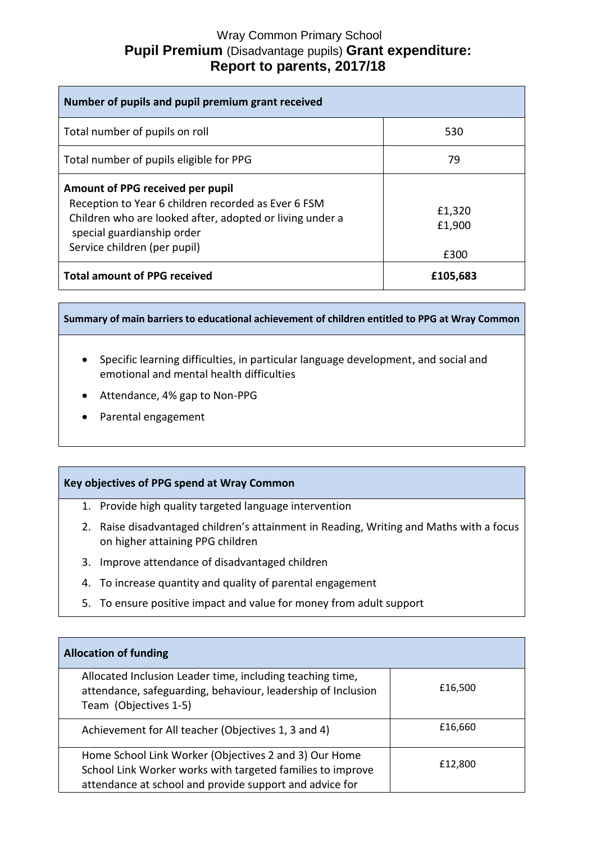# Wray Common Primary School **Pupil Premium** (Disadvantage pupils) **Grant expenditure: Report to parents, 2017/18**

| Number of pupils and pupil premium grant received                                                                                                                                                                 |                          |  |
|-------------------------------------------------------------------------------------------------------------------------------------------------------------------------------------------------------------------|--------------------------|--|
| Total number of pupils on roll                                                                                                                                                                                    | 530                      |  |
| Total number of pupils eligible for PPG                                                                                                                                                                           | 79                       |  |
| Amount of PPG received per pupil<br>Reception to Year 6 children recorded as Ever 6 FSM<br>Children who are looked after, adopted or living under a<br>special guardianship order<br>Service children (per pupil) | £1,320<br>£1,900<br>£300 |  |
| <b>Total amount of PPG received</b>                                                                                                                                                                               | £105,683                 |  |

**Summary of main barriers to educational achievement of children entitled to PPG at Wray Common**

- Specific learning difficulties, in particular language development, and social and emotional and mental health difficulties
- Attendance, 4% gap to Non-PPG
- Parental engagement

## **Key objectives of PPG spend at Wray Common**

- 1. Provide high quality targeted language intervention
- 2. Raise disadvantaged children's attainment in Reading, Writing and Maths with a focus on higher attaining PPG children
- 3. Improve attendance of disadvantaged children
- 4. To increase quantity and quality of parental engagement
- 5. To ensure positive impact and value for money from adult support

| <b>Allocation of funding</b>                                                                                                                                                   |         |
|--------------------------------------------------------------------------------------------------------------------------------------------------------------------------------|---------|
| Allocated Inclusion Leader time, including teaching time,<br>attendance, safeguarding, behaviour, leadership of Inclusion<br>Team (Objectives 1-5)                             | £16,500 |
| Achievement for All teacher (Objectives 1, 3 and 4)                                                                                                                            | £16,660 |
| Home School Link Worker (Objectives 2 and 3) Our Home<br>School Link Worker works with targeted families to improve<br>attendance at school and provide support and advice for | £12,800 |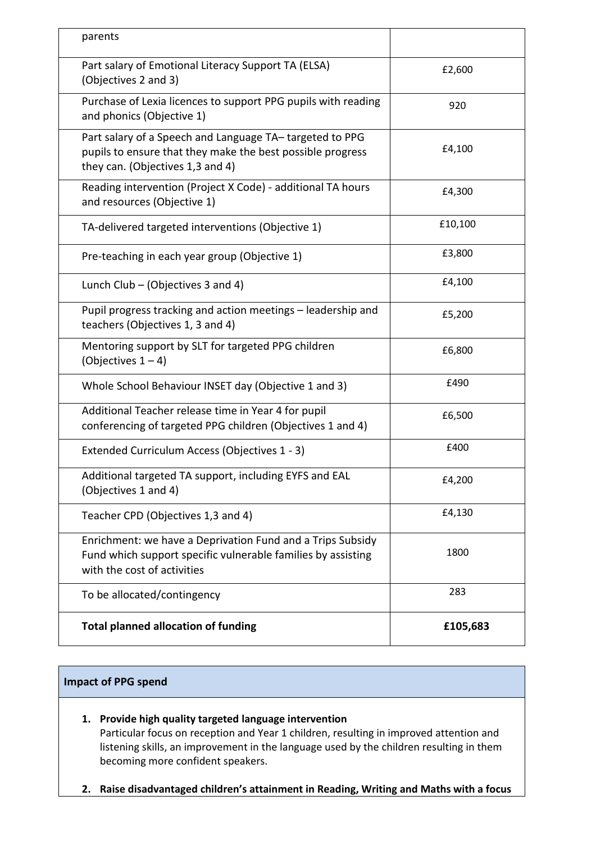| <b>Total planned allocation of funding</b>                                                                                                                | £105,683 |
|-----------------------------------------------------------------------------------------------------------------------------------------------------------|----------|
| To be allocated/contingency                                                                                                                               | 283      |
| Enrichment: we have a Deprivation Fund and a Trips Subsidy<br>Fund which support specific vulnerable families by assisting<br>with the cost of activities | 1800     |
| Teacher CPD (Objectives 1,3 and 4)                                                                                                                        | £4,130   |
| Additional targeted TA support, including EYFS and EAL<br>(Objectives 1 and 4)                                                                            | £4,200   |
| Extended Curriculum Access (Objectives 1 - 3)                                                                                                             | £400     |
| Additional Teacher release time in Year 4 for pupil<br>conferencing of targeted PPG children (Objectives 1 and 4)                                         | £6,500   |
| Whole School Behaviour INSET day (Objective 1 and 3)                                                                                                      | £490     |
| Mentoring support by SLT for targeted PPG children<br>(Objectives $1 - 4$ )                                                                               | £6,800   |
| Pupil progress tracking and action meetings - leadership and<br>teachers (Objectives 1, 3 and 4)                                                          | £5,200   |
| Lunch Club – (Objectives 3 and 4)                                                                                                                         | £4,100   |
| Pre-teaching in each year group (Objective 1)                                                                                                             | £3,800   |
| TA-delivered targeted interventions (Objective 1)                                                                                                         | £10,100  |
| Reading intervention (Project X Code) - additional TA hours<br>and resources (Objective 1)                                                                | £4,300   |
| Part salary of a Speech and Language TA-targeted to PPG<br>pupils to ensure that they make the best possible progress<br>they can. (Objectives 1,3 and 4) | £4,100   |
| Purchase of Lexia licences to support PPG pupils with reading<br>and phonics (Objective 1)                                                                | 920      |
| Part salary of Emotional Literacy Support TA (ELSA)<br>(Objectives 2 and 3)                                                                               | £2,600   |
| parents                                                                                                                                                   |          |

# **Impact of PPG spend**

- **1. Provide high quality targeted language intervention** Particular focus on reception and Year 1 children, resulting in improved attention and listening skills, an improvement in the language used by the children resulting in them becoming more confident speakers.
- **2. Raise disadvantaged children's attainment in Reading, Writing and Maths with a focus**